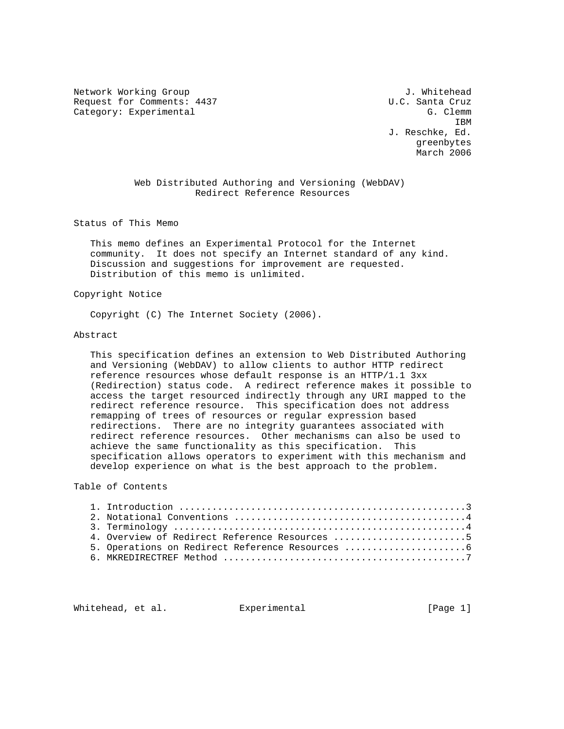Network Working Group and the set of the set of the set of the set of the set of the set of the set of the set o Request for Comments: 4437 U.C. Santa Cruz Category: Experimental G. Clemm

**IBM IBM**  J. Reschke, Ed. greenbytes March 2006

> Web Distributed Authoring and Versioning (WebDAV) Redirect Reference Resources

Status of This Memo

 This memo defines an Experimental Protocol for the Internet community. It does not specify an Internet standard of any kind. Discussion and suggestions for improvement are requested. Distribution of this memo is unlimited.

Copyright Notice

Copyright (C) The Internet Society (2006).

### Abstract

 This specification defines an extension to Web Distributed Authoring and Versioning (WebDAV) to allow clients to author HTTP redirect reference resources whose default response is an HTTP/1.1 3xx (Redirection) status code. A redirect reference makes it possible to access the target resourced indirectly through any URI mapped to the redirect reference resource. This specification does not address remapping of trees of resources or regular expression based redirections. There are no integrity guarantees associated with redirect reference resources. Other mechanisms can also be used to achieve the same functionality as this specification. This specification allows operators to experiment with this mechanism and develop experience on what is the best approach to the problem.

## Table of Contents

|  | 4. Overview of Redirect Reference Resources 5 |
|--|-----------------------------------------------|
|  | 5. Operations on Redirect Reference Resources |
|  |                                               |

Whitehead, et al. Experimental [Page 1]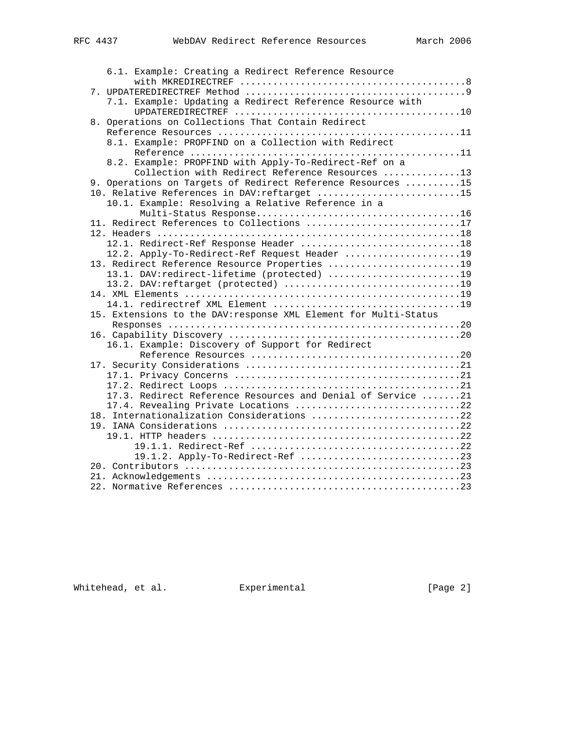| 6.1. Example: Creating a Redirect Reference Resource                                           |
|------------------------------------------------------------------------------------------------|
|                                                                                                |
|                                                                                                |
| 7.1. Example: Updating a Redirect Reference Resource with                                      |
|                                                                                                |
| 8. Operations on Collections That Contain Redirect                                             |
|                                                                                                |
| 8.1. Example: PROPFIND on a Collection with Redirect                                           |
|                                                                                                |
| 8.2. Example: PROPFIND with Apply-To-Redirect-Ref on a                                         |
| Collection with Redirect Reference Resources 13                                                |
| 9. Operations on Targets of Redirect Reference Resources 15                                    |
| 10. Relative References in DAV: reftarget 15                                                   |
| 10.1. Example: Resolving a Relative Reference in a                                             |
|                                                                                                |
| 11. Redirect References to Collections 17                                                      |
|                                                                                                |
| 12.1. Redirect-Ref Response Header 18                                                          |
| 12.2. Apply-To-Redirect-Ref Request Header 19<br>13. Redirect Reference Resource Properties 19 |
| 13.1. DAV:redirect-lifetime (protected) 19                                                     |
|                                                                                                |
|                                                                                                |
|                                                                                                |
| 15. Extensions to the DAV: response XML Element for Multi-Status                               |
|                                                                                                |
|                                                                                                |
| 16.1. Example: Discovery of Support for Redirect                                               |
|                                                                                                |
|                                                                                                |
|                                                                                                |
|                                                                                                |
| 17.3. Redirect Reference Resources and Denial of Service 21                                    |
| 17.4. Revealing Private Locations 22                                                           |
| 18. Internationalization Considerations 22                                                     |
|                                                                                                |
|                                                                                                |
|                                                                                                |
|                                                                                                |
|                                                                                                |
|                                                                                                |
|                                                                                                |

Whitehead, et al. Experimental Figure 2]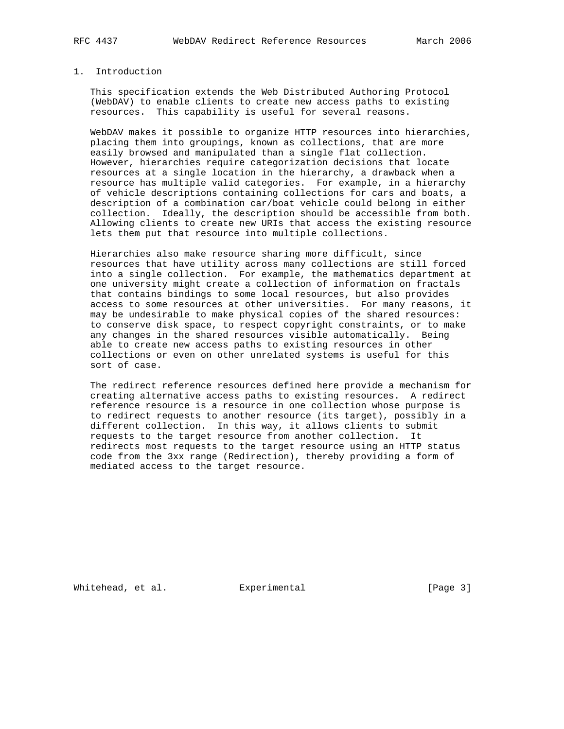#### 1. Introduction

 This specification extends the Web Distributed Authoring Protocol (WebDAV) to enable clients to create new access paths to existing resources. This capability is useful for several reasons.

 WebDAV makes it possible to organize HTTP resources into hierarchies, placing them into groupings, known as collections, that are more easily browsed and manipulated than a single flat collection. However, hierarchies require categorization decisions that locate resources at a single location in the hierarchy, a drawback when a resource has multiple valid categories. For example, in a hierarchy of vehicle descriptions containing collections for cars and boats, a description of a combination car/boat vehicle could belong in either collection. Ideally, the description should be accessible from both. Allowing clients to create new URIs that access the existing resource lets them put that resource into multiple collections.

 Hierarchies also make resource sharing more difficult, since resources that have utility across many collections are still forced into a single collection. For example, the mathematics department at one university might create a collection of information on fractals that contains bindings to some local resources, but also provides access to some resources at other universities. For many reasons, it may be undesirable to make physical copies of the shared resources: to conserve disk space, to respect copyright constraints, or to make any changes in the shared resources visible automatically. Being able to create new access paths to existing resources in other collections or even on other unrelated systems is useful for this sort of case.

 The redirect reference resources defined here provide a mechanism for creating alternative access paths to existing resources. A redirect reference resource is a resource in one collection whose purpose is to redirect requests to another resource (its target), possibly in a different collection. In this way, it allows clients to submit requests to the target resource from another collection. It redirects most requests to the target resource using an HTTP status code from the 3xx range (Redirection), thereby providing a form of mediated access to the target resource.

Whitehead, et al. Experimental [Page 3]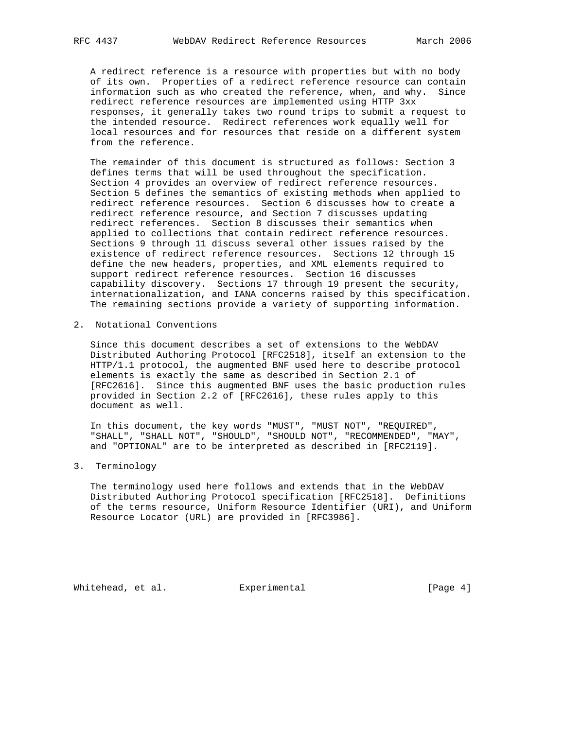A redirect reference is a resource with properties but with no body of its own. Properties of a redirect reference resource can contain information such as who created the reference, when, and why. Since redirect reference resources are implemented using HTTP 3xx responses, it generally takes two round trips to submit a request to the intended resource. Redirect references work equally well for local resources and for resources that reside on a different system from the reference.

 The remainder of this document is structured as follows: Section 3 defines terms that will be used throughout the specification. Section 4 provides an overview of redirect reference resources. Section 5 defines the semantics of existing methods when applied to redirect reference resources. Section 6 discusses how to create a redirect reference resource, and Section 7 discusses updating redirect references. Section 8 discusses their semantics when applied to collections that contain redirect reference resources. Sections 9 through 11 discuss several other issues raised by the existence of redirect reference resources. Sections 12 through 15 define the new headers, properties, and XML elements required to support redirect reference resources. Section 16 discusses capability discovery. Sections 17 through 19 present the security, internationalization, and IANA concerns raised by this specification. The remaining sections provide a variety of supporting information.

2. Notational Conventions

 Since this document describes a set of extensions to the WebDAV Distributed Authoring Protocol [RFC2518], itself an extension to the HTTP/1.1 protocol, the augmented BNF used here to describe protocol elements is exactly the same as described in Section 2.1 of [RFC2616]. Since this augmented BNF uses the basic production rules provided in Section 2.2 of [RFC2616], these rules apply to this document as well.

 In this document, the key words "MUST", "MUST NOT", "REQUIRED", "SHALL", "SHALL NOT", "SHOULD", "SHOULD NOT", "RECOMMENDED", "MAY", and "OPTIONAL" are to be interpreted as described in [RFC2119].

3. Terminology

 The terminology used here follows and extends that in the WebDAV Distributed Authoring Protocol specification [RFC2518]. Definitions of the terms resource, Uniform Resource Identifier (URI), and Uniform Resource Locator (URL) are provided in [RFC3986].

Whitehead, et al. Experimental Formula (Page 4)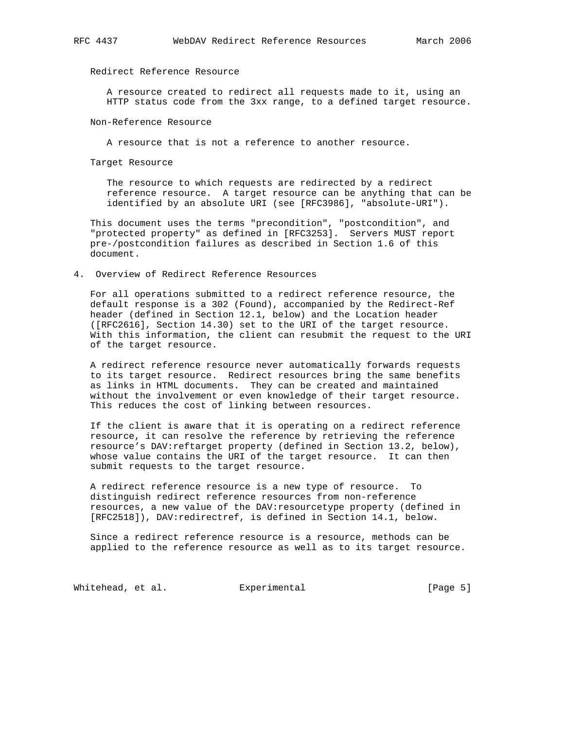# Redirect Reference Resource

 A resource created to redirect all requests made to it, using an HTTP status code from the 3xx range, to a defined target resource.

#### Non-Reference Resource

A resource that is not a reference to another resource.

Target Resource

The resource to which requests are redirected by a redirect reference resource. A target resource can be anything that can be identified by an absolute URI (see [RFC3986], "absolute-URI").

 This document uses the terms "precondition", "postcondition", and "protected property" as defined in [RFC3253]. Servers MUST report pre-/postcondition failures as described in Section 1.6 of this document.

4. Overview of Redirect Reference Resources

 For all operations submitted to a redirect reference resource, the default response is a 302 (Found), accompanied by the Redirect-Ref header (defined in Section 12.1, below) and the Location header ([RFC2616], Section 14.30) set to the URI of the target resource. With this information, the client can resubmit the request to the URI of the target resource.

 A redirect reference resource never automatically forwards requests to its target resource. Redirect resources bring the same benefits as links in HTML documents. They can be created and maintained without the involvement or even knowledge of their target resource. This reduces the cost of linking between resources.

 If the client is aware that it is operating on a redirect reference resource, it can resolve the reference by retrieving the reference resource's DAV:reftarget property (defined in Section 13.2, below), whose value contains the URI of the target resource. It can then submit requests to the target resource.

 A redirect reference resource is a new type of resource. To distinguish redirect reference resources from non-reference resources, a new value of the DAV: resourcetype property (defined in [RFC2518]), DAV:redirectref, is defined in Section 14.1, below.

 Since a redirect reference resource is a resource, methods can be applied to the reference resource as well as to its target resource.

Whitehead, et al. Experimental CPage 5]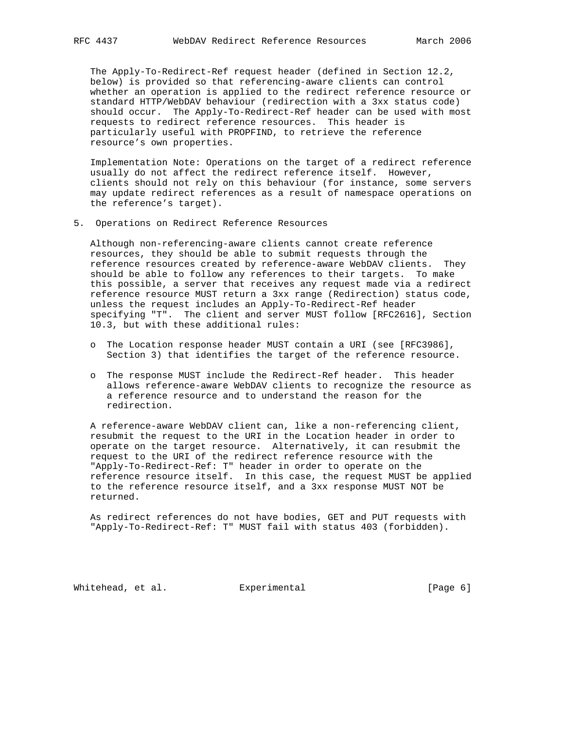The Apply-To-Redirect-Ref request header (defined in Section 12.2, below) is provided so that referencing-aware clients can control whether an operation is applied to the redirect reference resource or standard HTTP/WebDAV behaviour (redirection with a 3xx status code) should occur. The Apply-To-Redirect-Ref header can be used with most requests to redirect reference resources. This header is particularly useful with PROPFIND, to retrieve the reference resource's own properties.

 Implementation Note: Operations on the target of a redirect reference usually do not affect the redirect reference itself. However, clients should not rely on this behaviour (for instance, some servers may update redirect references as a result of namespace operations on the reference's target).

5. Operations on Redirect Reference Resources

 Although non-referencing-aware clients cannot create reference resources, they should be able to submit requests through the reference resources created by reference-aware WebDAV clients. They should be able to follow any references to their targets. To make this possible, a server that receives any request made via a redirect reference resource MUST return a 3xx range (Redirection) status code, unless the request includes an Apply-To-Redirect-Ref header specifying "T". The client and server MUST follow [RFC2616], Section 10.3, but with these additional rules:

- o The Location response header MUST contain a URI (see [RFC3986], Section 3) that identifies the target of the reference resource.
- o The response MUST include the Redirect-Ref header. This header allows reference-aware WebDAV clients to recognize the resource as a reference resource and to understand the reason for the redirection.

 A reference-aware WebDAV client can, like a non-referencing client, resubmit the request to the URI in the Location header in order to operate on the target resource. Alternatively, it can resubmit the request to the URI of the redirect reference resource with the "Apply-To-Redirect-Ref: T" header in order to operate on the reference resource itself. In this case, the request MUST be applied to the reference resource itself, and a 3xx response MUST NOT be returned.

 As redirect references do not have bodies, GET and PUT requests with "Apply-To-Redirect-Ref: T" MUST fail with status 403 (forbidden).

Whitehead, et al. Experimental CPage 6]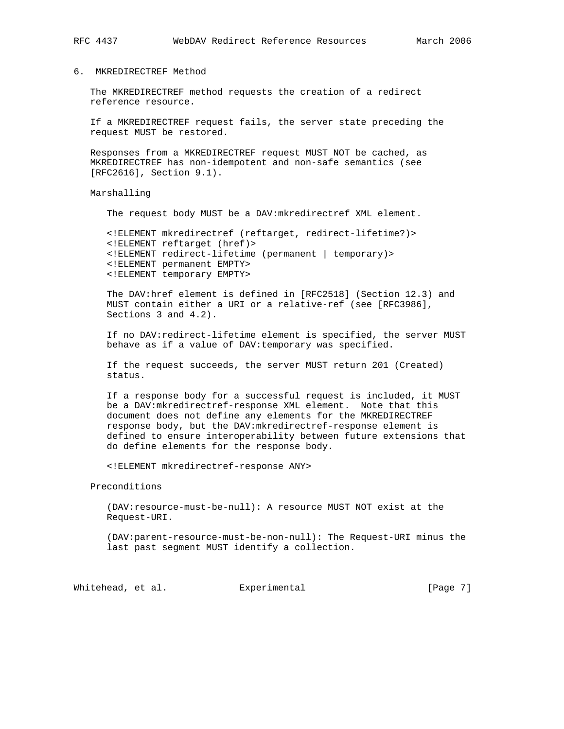## 6. MKREDIRECTREF Method

 The MKREDIRECTREF method requests the creation of a redirect reference resource.

 If a MKREDIRECTREF request fails, the server state preceding the request MUST be restored.

 Responses from a MKREDIRECTREF request MUST NOT be cached, as MKREDIRECTREF has non-idempotent and non-safe semantics (see [RFC2616], Section 9.1).

Marshalling

The request body MUST be a DAV:mkredirectref XML element.

 <!ELEMENT mkredirectref (reftarget, redirect-lifetime?)> <!ELEMENT reftarget (href)> <!ELEMENT redirect-lifetime (permanent | temporary)> <!ELEMENT permanent EMPTY> <!ELEMENT temporary EMPTY>

 The DAV:href element is defined in [RFC2518] (Section 12.3) and MUST contain either a URI or a relative-ref (see [RFC3986], Sections 3 and 4.2).

 If no DAV:redirect-lifetime element is specified, the server MUST behave as if a value of DAV:temporary was specified.

 If the request succeeds, the server MUST return 201 (Created) status.

 If a response body for a successful request is included, it MUST be a DAV:mkredirectref-response XML element. Note that this document does not define any elements for the MKREDIRECTREF response body, but the DAV:mkredirectref-response element is defined to ensure interoperability between future extensions that do define elements for the response body.

<!ELEMENT mkredirectref-response ANY>

Preconditions

 (DAV:resource-must-be-null): A resource MUST NOT exist at the Request-URI.

 (DAV:parent-resource-must-be-non-null): The Request-URI minus the last past segment MUST identify a collection.

Whitehead, et al. Experimental Formulation (Page 7)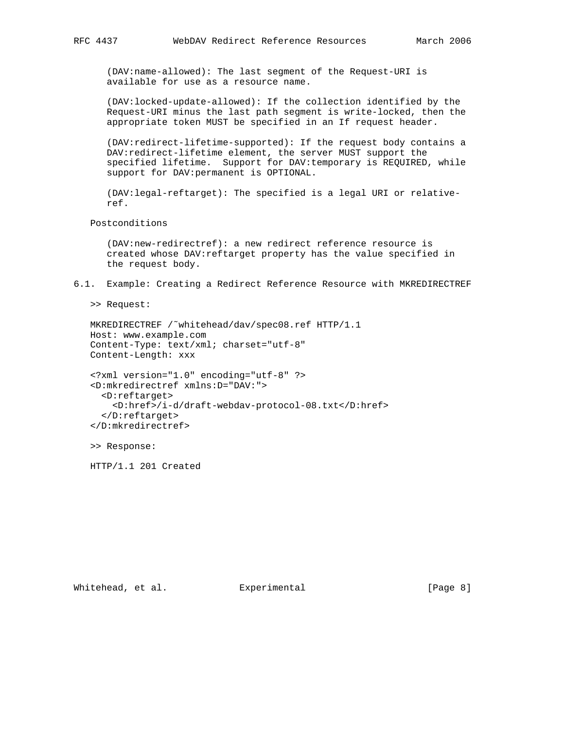(DAV:name-allowed): The last segment of the Request-URI is available for use as a resource name.

 (DAV:locked-update-allowed): If the collection identified by the Request-URI minus the last path segment is write-locked, then the appropriate token MUST be specified in an If request header.

 (DAV:redirect-lifetime-supported): If the request body contains a DAV:redirect-lifetime element, the server MUST support the specified lifetime. Support for DAV:temporary is REQUIRED, while support for DAV:permanent is OPTIONAL.

 (DAV:legal-reftarget): The specified is a legal URI or relative ref.

Postconditions

 (DAV:new-redirectref): a new redirect reference resource is created whose DAV:reftarget property has the value specified in the request body.

6.1. Example: Creating a Redirect Reference Resource with MKREDIRECTREF

>> Request:

 MKREDIRECTREF /˜whitehead/dav/spec08.ref HTTP/1.1 Host: www.example.com Content-Type: text/xml; charset="utf-8" Content-Length: xxx

```
 <?xml version="1.0" encoding="utf-8" ?>
<D:mkredirectref xmlns:D="DAV:">
 <D:reftarget>
    <D:href>/i-d/draft-webdav-protocol-08.txt</D:href>
 </D:reftarget>
</D:mkredirectref>
```
>> Response:

HTTP/1.1 201 Created

Whitehead, et al. Experimental Formulation (Page 8)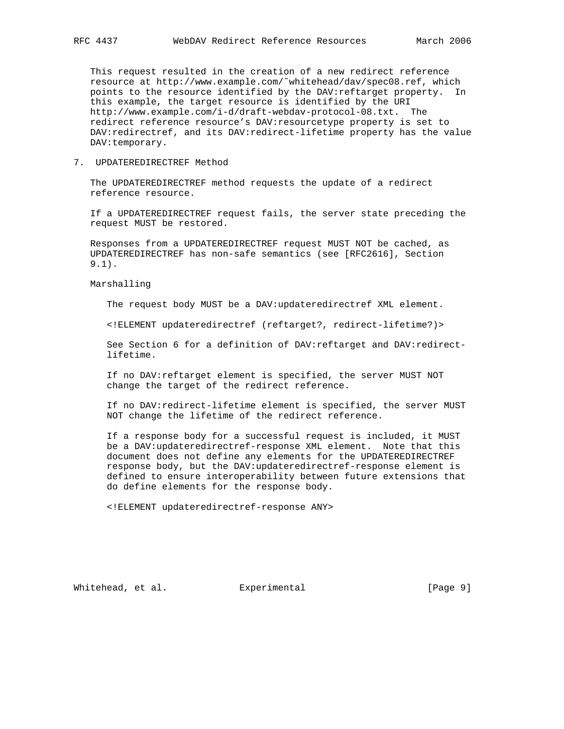This request resulted in the creation of a new redirect reference resource at http://www.example.com/˜whitehead/dav/spec08.ref, which points to the resource identified by the DAV:reftarget property. In this example, the target resource is identified by the URI http://www.example.com/i-d/draft-webdav-protocol-08.txt. The redirect reference resource's DAV:resourcetype property is set to DAV:redirectref, and its DAV:redirect-lifetime property has the value DAV:temporary.

7. UPDATEREDIRECTREF Method

 The UPDATEREDIRECTREF method requests the update of a redirect reference resource.

 If a UPDATEREDIRECTREF request fails, the server state preceding the request MUST be restored.

 Responses from a UPDATEREDIRECTREF request MUST NOT be cached, as UPDATEREDIRECTREF has non-safe semantics (see [RFC2616], Section 9.1).

Marshalling

The request body MUST be a DAV:updateredirectref XML element.

<!ELEMENT updateredirectref (reftarget?, redirect-lifetime?)>

 See Section 6 for a definition of DAV:reftarget and DAV:redirect lifetime.

 If no DAV:reftarget element is specified, the server MUST NOT change the target of the redirect reference.

 If no DAV:redirect-lifetime element is specified, the server MUST NOT change the lifetime of the redirect reference.

 If a response body for a successful request is included, it MUST be a DAV:updateredirectref-response XML element. Note that this document does not define any elements for the UPDATEREDIRECTREF response body, but the DAV:updateredirectref-response element is defined to ensure interoperability between future extensions that do define elements for the response body.

<!ELEMENT updateredirectref-response ANY>

Whitehead, et al. Experimental Formulation (Page 9)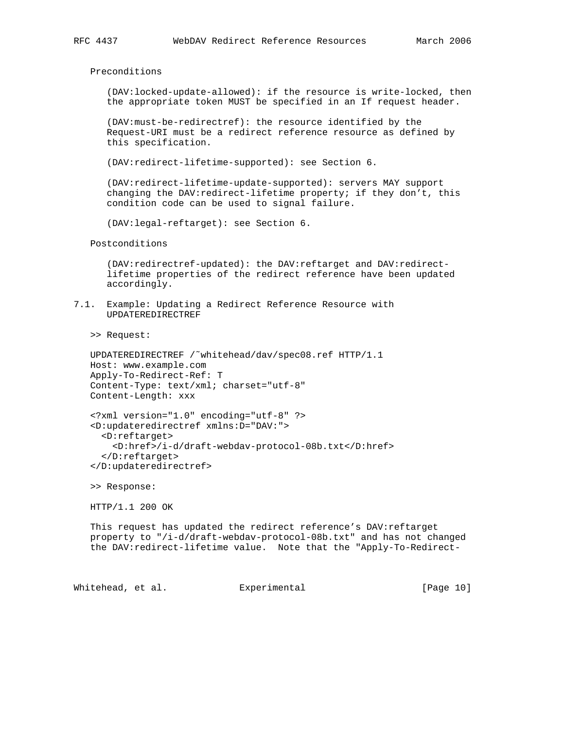Preconditions

 (DAV:locked-update-allowed): if the resource is write-locked, then the appropriate token MUST be specified in an If request header.

 (DAV:must-be-redirectref): the resource identified by the Request-URI must be a redirect reference resource as defined by this specification.

(DAV:redirect-lifetime-supported): see Section 6.

 (DAV:redirect-lifetime-update-supported): servers MAY support changing the DAV:redirect-lifetime property; if they don't, this condition code can be used to signal failure.

(DAV:legal-reftarget): see Section 6.

Postconditions

 (DAV:redirectref-updated): the DAV:reftarget and DAV:redirect lifetime properties of the redirect reference have been updated accordingly.

7.1. Example: Updating a Redirect Reference Resource with UPDATEREDIRECTREF

>> Request:

```
 UPDATEREDIRECTREF /˜whitehead/dav/spec08.ref HTTP/1.1
Host: www.example.com
Apply-To-Redirect-Ref: T
Content-Type: text/xml; charset="utf-8"
Content-Length: xxx
```

```
 <?xml version="1.0" encoding="utf-8" ?>
<D:updateredirectref xmlns:D="DAV:">
 <D:reftarget>
    <D:href>/i-d/draft-webdav-protocol-08b.txt</D:href>
  </D:reftarget>
</D:updateredirectref>
```
>> Response:

HTTP/1.1 200 OK

 This request has updated the redirect reference's DAV:reftarget property to "/i-d/draft-webdav-protocol-08b.txt" and has not changed the DAV:redirect-lifetime value. Note that the "Apply-To-Redirect-

Whitehead, et al. Experimental [Page 10]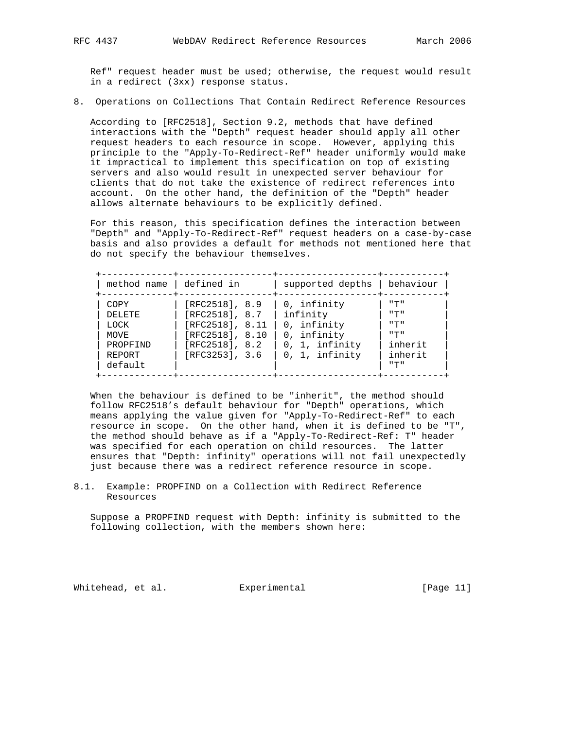Ref" request header must be used; otherwise, the request would result in a redirect (3xx) response status.

8. Operations on Collections That Contain Redirect Reference Resources

 According to [RFC2518], Section 9.2, methods that have defined interactions with the "Depth" request header should apply all other request headers to each resource in scope. However, applying this principle to the "Apply-To-Redirect-Ref" header uniformly would make it impractical to implement this specification on top of existing servers and also would result in unexpected server behaviour for clients that do not take the existence of redirect references into account. On the other hand, the definition of the "Depth" header allows alternate behaviours to be explicitly defined.

 For this reason, this specification defines the interaction between "Depth" and "Apply-To-Redirect-Ref" request headers on a case-by-case basis and also provides a default for methods not mentioned here that do not specify the behaviour themselves.

| method name defined in                                                 |                                                                                                             | supported depths                                                                              | behaviour                                                                   |
|------------------------------------------------------------------------|-------------------------------------------------------------------------------------------------------------|-----------------------------------------------------------------------------------------------|-----------------------------------------------------------------------------|
| COPY<br><b>DELETE</b><br>LOCK<br>MOVE<br>PROPFIND<br>REPORT<br>default | [RFC2518], 8.9]<br>[RFC2518], 8.7<br>[RFC2518], 8.11<br>[RFC2518], 8.10<br>[RFC2518], 8.2<br>[RFC3253], 3.6 | 0, infinity<br>infinity<br>0, infinity<br>0, infinity<br>$0, 1,$ infinity<br>$0, 1,$ infinity | <b>"T"</b><br>ադա<br><b>"T"</b><br>יי ידי יי<br>inherit<br>inherit<br>" 구 " |

 When the behaviour is defined to be "inherit", the method should follow RFC2518's default behaviour for "Depth" operations, which means applying the value given for "Apply-To-Redirect-Ref" to each resource in scope. On the other hand, when it is defined to be "T", the method should behave as if a "Apply-To-Redirect-Ref: T" header was specified for each operation on child resources. The latter ensures that "Depth: infinity" operations will not fail unexpectedly just because there was a redirect reference resource in scope.

8.1. Example: PROPFIND on a Collection with Redirect Reference Resources

 Suppose a PROPFIND request with Depth: infinity is submitted to the following collection, with the members shown here:

Whitehead, et al. Experimental [Page 11]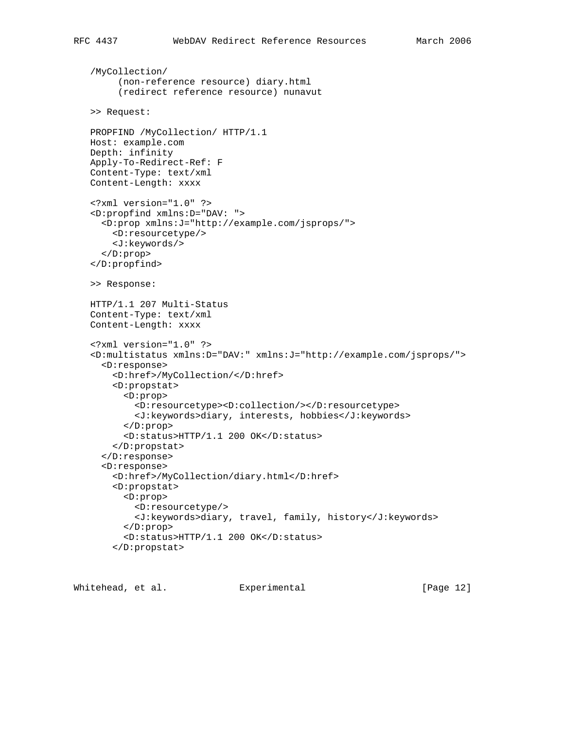```
 /MyCollection/
     (non-reference resource) diary.html
     (redirect reference resource) nunavut
>> Request:
PROPFIND /MyCollection/ HTTP/1.1
Host: example.com
Depth: infinity
Apply-To-Redirect-Ref: F
Content-Type: text/xml
Content-Length: xxxx
<?xml version="1.0" ?>
<D:propfind xmlns:D="DAV: ">
  <D:prop xmlns:J="http://example.com/jsprops/">
    <D:resourcetype/>
    <J:keywords/>
  </D:prop>
</D:propfind>
>> Response:
HTTP/1.1 207 Multi-Status
Content-Type: text/xml
Content-Length: xxxx
<?xml version="1.0" ?>
<D:multistatus xmlns:D="DAV:" xmlns:J="http://example.com/jsprops/">
  <D:response>
    <D:href>/MyCollection/</D:href>
    <D:propstat>
      <D:prop>
        <D:resourcetype><D:collection/></D:resourcetype>
        <J:keywords>diary, interests, hobbies</J:keywords>
      </D:prop>
      <D:status>HTTP/1.1 200 OK</D:status>
    </D:propstat>
  </D:response>
  <D:response>
    <D:href>/MyCollection/diary.html</D:href>
    <D:propstat>
      <D:prop>
        <D:resourcetype/>
        <J:keywords>diary, travel, family, history</J:keywords>
      </D:prop>
      <D:status>HTTP/1.1 200 OK</D:status>
    </D:propstat>
```
Whitehead, et al. Experimental [Page 12]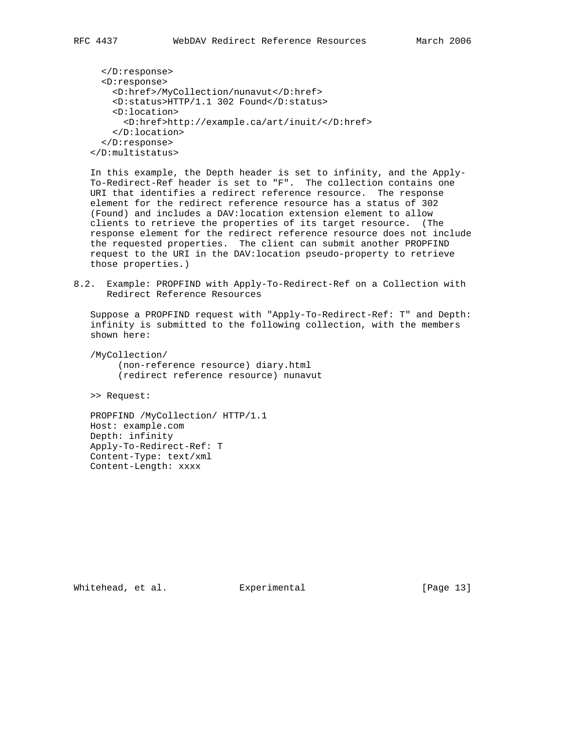```
 </D:response>
  <D:response>
    <D:href>/MyCollection/nunavut</D:href>
    <D:status>HTTP/1.1 302 Found</D:status>
    <D:location>
      <D:href>http://example.ca/art/inuit/</D:href>
    </D:location>
  </D:response>
</D:multistatus>
```
 In this example, the Depth header is set to infinity, and the Apply- To-Redirect-Ref header is set to "F". The collection contains one URI that identifies a redirect reference resource. The response element for the redirect reference resource has a status of 302 (Found) and includes a DAV:location extension element to allow clients to retrieve the properties of its target resource. (The response element for the redirect reference resource does not include the requested properties. The client can submit another PROPFIND request to the URI in the DAV:location pseudo-property to retrieve those properties.)

8.2. Example: PROPFIND with Apply-To-Redirect-Ref on a Collection with Redirect Reference Resources

 Suppose a PROPFIND request with "Apply-To-Redirect-Ref: T" and Depth: infinity is submitted to the following collection, with the members shown here:

 /MyCollection/ (non-reference resource) diary.html (redirect reference resource) nunavut

>> Request:

 PROPFIND /MyCollection/ HTTP/1.1 Host: example.com Depth: infinity Apply-To-Redirect-Ref: T Content-Type: text/xml Content-Length: xxxx

Whitehead, et al. Experimental [Page 13]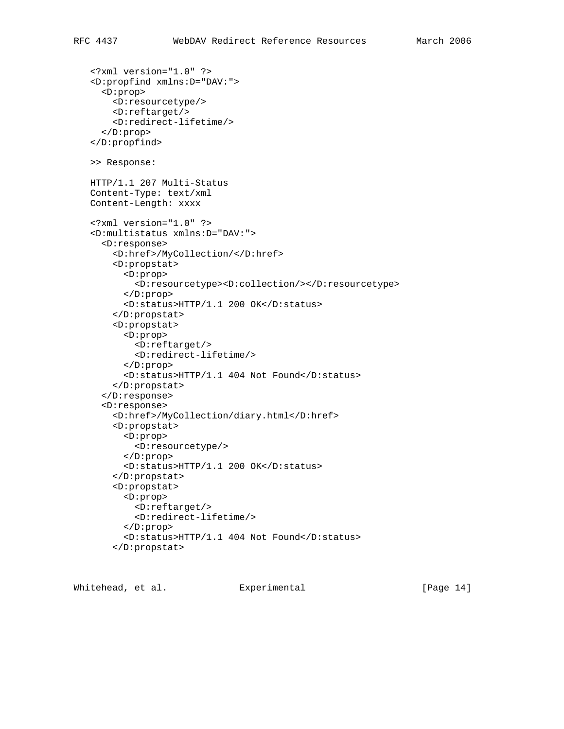```
 <?xml version="1.0" ?>
<D:propfind xmlns:D="DAV:">
  <D:prop>
    <D:resourcetype/>
    <D:reftarget/>
    <D:redirect-lifetime/>
  </D:prop>
</D:propfind>
>> Response:
HTTP/1.1 207 Multi-Status
Content-Type: text/xml
Content-Length: xxxx
<?xml version="1.0" ?>
<D:multistatus xmlns:D="DAV:">
  <D:response>
    <D:href>/MyCollection/</D:href>
    <D:propstat>
      <D:prop>
        <D:resourcetype><D:collection/></D:resourcetype>
      </D:prop>
      <D:status>HTTP/1.1 200 OK</D:status>
    </D:propstat>
    <D:propstat>
      <D:prop>
        <D:reftarget/>
        <D:redirect-lifetime/>
      </D:prop>
      <D:status>HTTP/1.1 404 Not Found</D:status>
    </D:propstat>
  </D:response>
  <D:response>
    <D:href>/MyCollection/diary.html</D:href>
    <D:propstat>
      <D:prop>
        <D:resourcetype/>
      </D:prop>
      <D:status>HTTP/1.1 200 OK</D:status>
    </D:propstat>
    <D:propstat>
      <D:prop>
        <D:reftarget/>
        <D:redirect-lifetime/>
      </D:prop>
      <D:status>HTTP/1.1 404 Not Found</D:status>
    </D:propstat>
```
Whitehead, et al. Experimental [Page 14]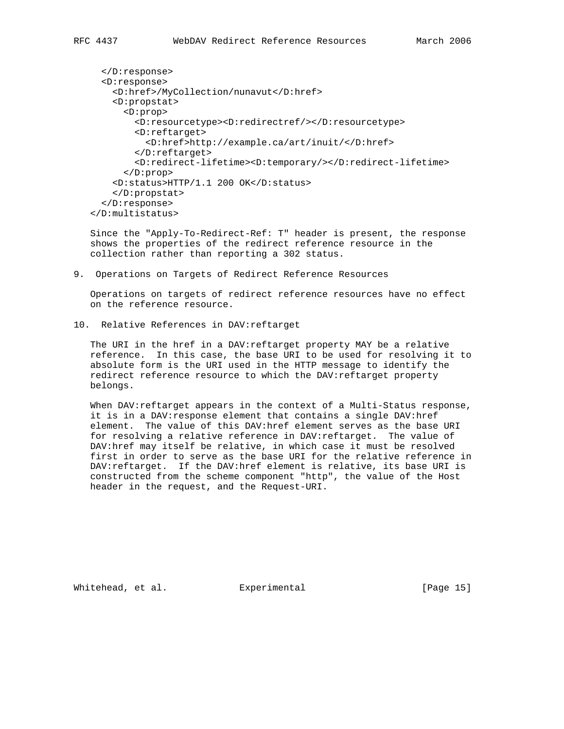```
 </D:response>
  <D:response>
    <D:href>/MyCollection/nunavut</D:href>
    <D:propstat>
      <D:prop>
        <D:resourcetype><D:redirectref/></D:resourcetype>
        <D:reftarget>
          <D:href>http://example.ca/art/inuit/</D:href>
        </D:reftarget>
        <D:redirect-lifetime><D:temporary/></D:redirect-lifetime>
      </D:prop>
    <D:status>HTTP/1.1 200 OK</D:status>
    </D:propstat>
  </D:response>
</D:multistatus>
```
 Since the "Apply-To-Redirect-Ref: T" header is present, the response shows the properties of the redirect reference resource in the collection rather than reporting a 302 status.

9. Operations on Targets of Redirect Reference Resources

 Operations on targets of redirect reference resources have no effect on the reference resource.

10. Relative References in DAV:reftarget

 The URI in the href in a DAV:reftarget property MAY be a relative reference. In this case, the base URI to be used for resolving it to absolute form is the URI used in the HTTP message to identify the redirect reference resource to which the DAV:reftarget property belongs.

 When DAV:reftarget appears in the context of a Multi-Status response, it is in a DAV:response element that contains a single DAV:href element. The value of this DAV:href element serves as the base URI for resolving a relative reference in DAV: reftarget. The value of DAV:href may itself be relative, in which case it must be resolved first in order to serve as the base URI for the relative reference in DAV:reftarget. If the DAV:href element is relative, its base URI is constructed from the scheme component "http", the value of the Host header in the request, and the Request-URI.

Whitehead, et al. Experimental [Page 15]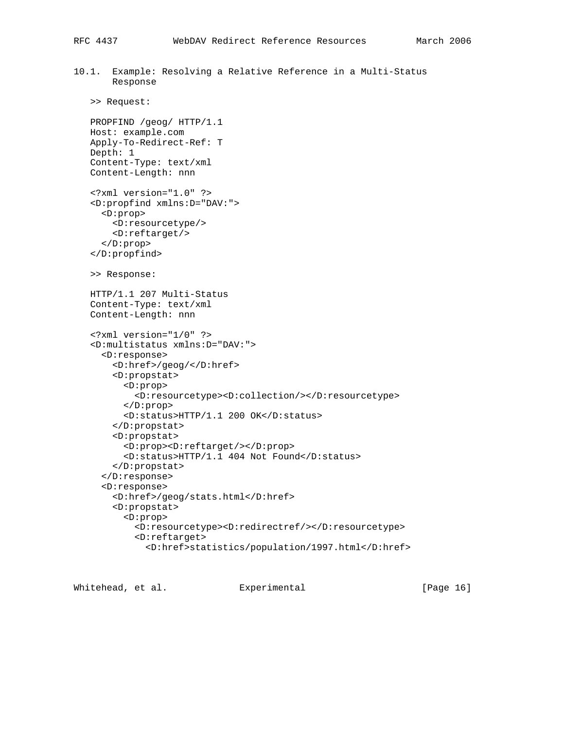10.1. Example: Resolving a Relative Reference in a Multi-Status Response

```
 >> Request:
```
 PROPFIND /geog/ HTTP/1.1 Host: example.com Apply-To-Redirect-Ref: T Depth: 1 Content-Type: text/xml Content-Length: nnn

```
 <?xml version="1.0" ?>
<D:propfind xmlns:D="DAV:">
  <D:prop>
    <D:resourcetype/>
    <D:reftarget/>
  </D:prop>
</D:propfind>
```

```
 >> Response:
```
 HTTP/1.1 207 Multi-Status Content-Type: text/xml Content-Length: nnn

```
 <?xml version="1/0" ?>
<D:multistatus xmlns:D="DAV:">
  <D:response>
    <D:href>/geog/</D:href>
    <D:propstat>
      <D:prop>
        <D:resourcetype><D:collection/></D:resourcetype>
      </D:prop>
      <D:status>HTTP/1.1 200 OK</D:status>
    </D:propstat>
    <D:propstat>
      <D:prop><D:reftarget/></D:prop>
      <D:status>HTTP/1.1 404 Not Found</D:status>
    </D:propstat>
  </D:response>
  <D:response>
    <D:href>/geog/stats.html</D:href>
    <D:propstat>
      <D:prop>
        <D:resourcetype><D:redirectref/></D:resourcetype>
        <D:reftarget>
          <D:href>statistics/population/1997.html</D:href>
```
Whitehead, et al. Experimental [Page 16]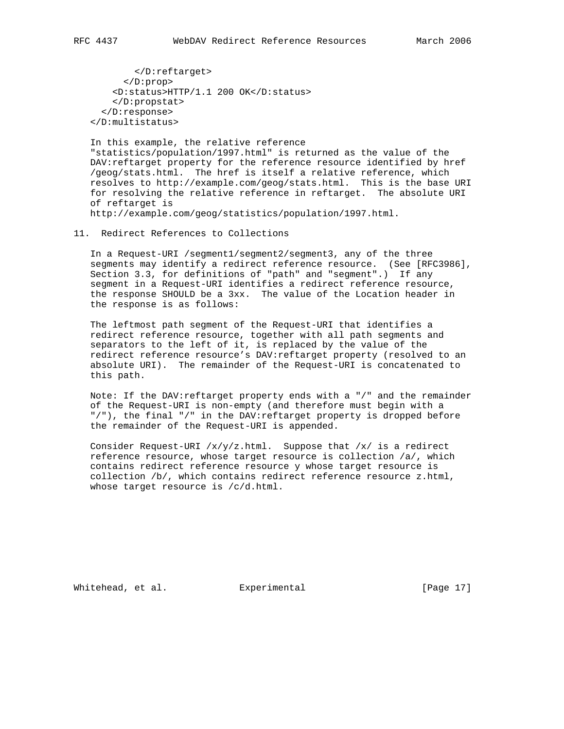</D:reftarget> </D:prop> <D:status>HTTP/1.1 200 OK</D:status> </D:propstat> </D:response> </D:multistatus>

 In this example, the relative reference "statistics/population/1997.html" is returned as the value of the DAV:reftarget property for the reference resource identified by href /geog/stats.html. The href is itself a relative reference, which resolves to http://example.com/geog/stats.html. This is the base URI for resolving the relative reference in reftarget. The absolute URI of reftarget is http://example.com/geog/statistics/population/1997.html.

11. Redirect References to Collections

 In a Request-URI /segment1/segment2/segment3, any of the three segments may identify a redirect reference resource. (See [RFC3986], Section 3.3, for definitions of "path" and "segment".) If any segment in a Request-URI identifies a redirect reference resource, the response SHOULD be a 3xx. The value of the Location header in the response is as follows:

 The leftmost path segment of the Request-URI that identifies a redirect reference resource, together with all path segments and separators to the left of it, is replaced by the value of the redirect reference resource's DAV:reftarget property (resolved to an absolute URI). The remainder of the Request-URI is concatenated to this path.

 Note: If the DAV:reftarget property ends with a "/" and the remainder of the Request-URI is non-empty (and therefore must begin with a "/"), the final "/" in the DAV:reftarget property is dropped before the remainder of the Request-URI is appended.

Consider Request-URI  $/x/y/z$ .html. Suppose that  $/x/$  is a redirect reference resource, whose target resource is collection /a/, which contains redirect reference resource y whose target resource is collection /b/, which contains redirect reference resource z.html, whose target resource is /c/d.html.

Whitehead, et al. Experimental [Page 17]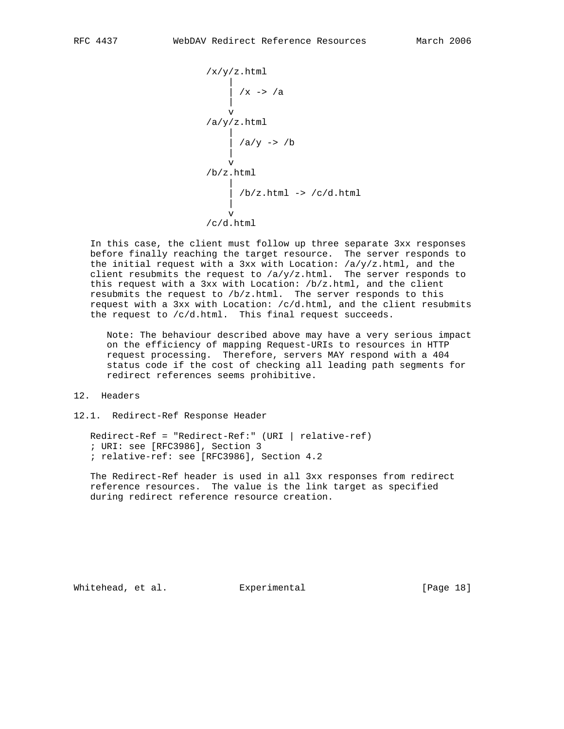

 In this case, the client must follow up three separate 3xx responses before finally reaching the target resource. The server responds to the initial request with a 3xx with Location:  $/a/y/z$ .html, and the client resubmits the request to  $/a/y/z$ .html. The server responds to this request with a 3xx with Location: /b/z.html, and the client resubmits the request to /b/z.html. The server responds to this request with a 3xx with Location: /c/d.html, and the client resubmits the request to /c/d.html. This final request succeeds.

 Note: The behaviour described above may have a very serious impact on the efficiency of mapping Request-URIs to resources in HTTP request processing. Therefore, servers MAY respond with a 404 status code if the cost of checking all leading path segments for redirect references seems prohibitive.

## 12. Headers

12.1. Redirect-Ref Response Header

 Redirect-Ref = "Redirect-Ref:" (URI | relative-ref) ; URI: see [RFC3986], Section 3 ; relative-ref: see [RFC3986], Section 4.2

 The Redirect-Ref header is used in all 3xx responses from redirect reference resources. The value is the link target as specified during redirect reference resource creation.

Whitehead, et al. Experimental [Page 18]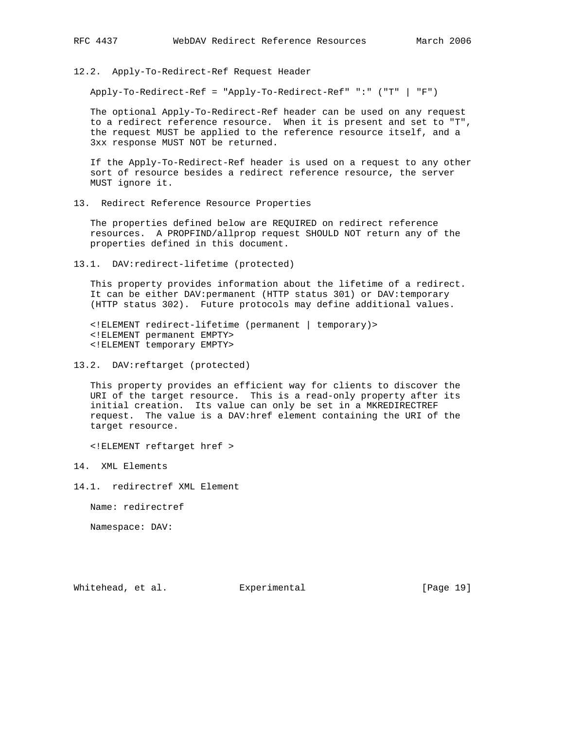12.2. Apply-To-Redirect-Ref Request Header

Apply-To-Redirect-Ref = "Apply-To-Redirect-Ref" ":" ("T" | "F")

 The optional Apply-To-Redirect-Ref header can be used on any request to a redirect reference resource. When it is present and set to "T", the request MUST be applied to the reference resource itself, and a 3xx response MUST NOT be returned.

 If the Apply-To-Redirect-Ref header is used on a request to any other sort of resource besides a redirect reference resource, the server MUST ignore it.

13. Redirect Reference Resource Properties

 The properties defined below are REQUIRED on redirect reference resources. A PROPFIND/allprop request SHOULD NOT return any of the properties defined in this document.

13.1. DAV:redirect-lifetime (protected)

 This property provides information about the lifetime of a redirect. It can be either DAV:permanent (HTTP status 301) or DAV:temporary (HTTP status 302). Future protocols may define additional values.

 <!ELEMENT redirect-lifetime (permanent | temporary)> <!ELEMENT permanent EMPTY> <!ELEMENT temporary EMPTY>

13.2. DAV:reftarget (protected)

 This property provides an efficient way for clients to discover the URI of the target resource. This is a read-only property after its initial creation. Its value can only be set in a MKREDIRECTREF request. The value is a DAV:href element containing the URI of the target resource.

<!ELEMENT reftarget href >

14. XML Elements

14.1. redirectref XML Element

Name: redirectref

Namespace: DAV:

Whitehead, et al. Experimental [Page 19]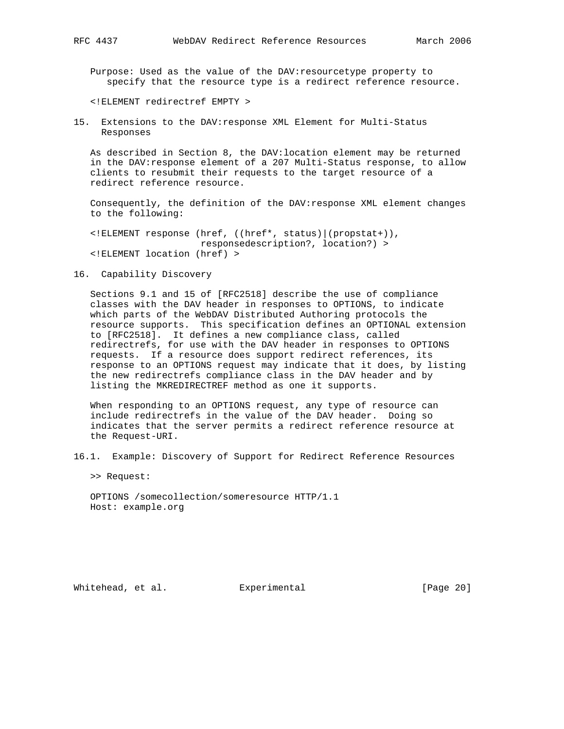Purpose: Used as the value of the DAV:resourcetype property to specify that the resource type is a redirect reference resource.

<!ELEMENT redirectref EMPTY >

15. Extensions to the DAV:response XML Element for Multi-Status Responses

 As described in Section 8, the DAV:location element may be returned in the DAV:response element of a 207 Multi-Status response, to allow clients to resubmit their requests to the target resource of a redirect reference resource.

 Consequently, the definition of the DAV:response XML element changes to the following:

 <!ELEMENT response (href, ((href\*, status)|(propstat+)), responsedescription?, location?) > <!ELEMENT location (href) >

16. Capability Discovery

 Sections 9.1 and 15 of [RFC2518] describe the use of compliance classes with the DAV header in responses to OPTIONS, to indicate which parts of the WebDAV Distributed Authoring protocols the resource supports. This specification defines an OPTIONAL extension to [RFC2518]. It defines a new compliance class, called redirectrefs, for use with the DAV header in responses to OPTIONS requests. If a resource does support redirect references, its response to an OPTIONS request may indicate that it does, by listing the new redirectrefs compliance class in the DAV header and by listing the MKREDIRECTREF method as one it supports.

 When responding to an OPTIONS request, any type of resource can include redirectrefs in the value of the DAV header. Doing so indicates that the server permits a redirect reference resource at the Request-URI.

16.1. Example: Discovery of Support for Redirect Reference Resources

>> Request:

 OPTIONS /somecollection/someresource HTTP/1.1 Host: example.org

Whitehead, et al. Experimental [Page 20]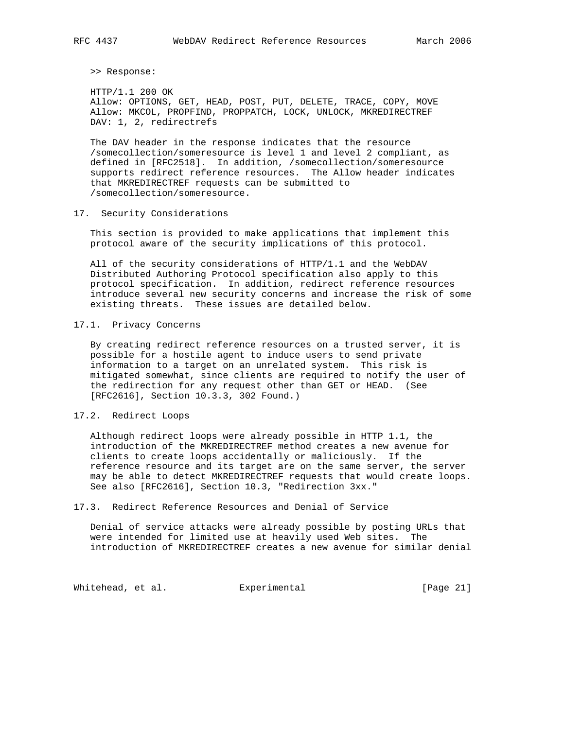>> Response:

 HTTP/1.1 200 OK Allow: OPTIONS, GET, HEAD, POST, PUT, DELETE, TRACE, COPY, MOVE Allow: MKCOL, PROPFIND, PROPPATCH, LOCK, UNLOCK, MKREDIRECTREF DAV: 1, 2, redirectrefs

 The DAV header in the response indicates that the resource /somecollection/someresource is level 1 and level 2 compliant, as defined in [RFC2518]. In addition, /somecollection/someresource supports redirect reference resources. The Allow header indicates that MKREDIRECTREF requests can be submitted to /somecollection/someresource.

### 17. Security Considerations

 This section is provided to make applications that implement this protocol aware of the security implications of this protocol.

 All of the security considerations of HTTP/1.1 and the WebDAV Distributed Authoring Protocol specification also apply to this protocol specification. In addition, redirect reference resources introduce several new security concerns and increase the risk of some existing threats. These issues are detailed below.

### 17.1. Privacy Concerns

 By creating redirect reference resources on a trusted server, it is possible for a hostile agent to induce users to send private information to a target on an unrelated system. This risk is mitigated somewhat, since clients are required to notify the user of the redirection for any request other than GET or HEAD. (See [RFC2616], Section 10.3.3, 302 Found.)

### 17.2. Redirect Loops

 Although redirect loops were already possible in HTTP 1.1, the introduction of the MKREDIRECTREF method creates a new avenue for clients to create loops accidentally or maliciously. If the reference resource and its target are on the same server, the server may be able to detect MKREDIRECTREF requests that would create loops. See also [RFC2616], Section 10.3, "Redirection 3xx."

#### 17.3. Redirect Reference Resources and Denial of Service

 Denial of service attacks were already possible by posting URLs that were intended for limited use at heavily used Web sites. The introduction of MKREDIRECTREF creates a new avenue for similar denial

Whitehead, et al. Experimental Figure 21]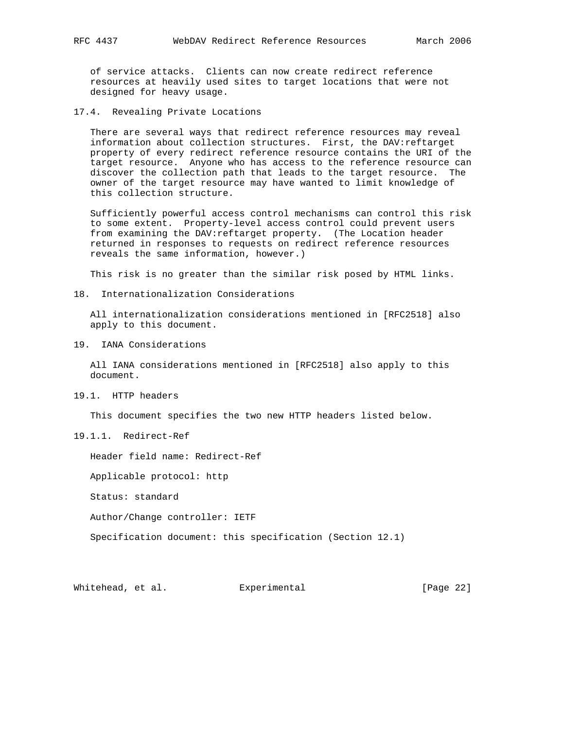of service attacks. Clients can now create redirect reference resources at heavily used sites to target locations that were not designed for heavy usage.

17.4. Revealing Private Locations

 There are several ways that redirect reference resources may reveal information about collection structures. First, the DAV:reftarget property of every redirect reference resource contains the URI of the target resource. Anyone who has access to the reference resource can discover the collection path that leads to the target resource. The owner of the target resource may have wanted to limit knowledge of this collection structure.

 Sufficiently powerful access control mechanisms can control this risk to some extent. Property-level access control could prevent users from examining the DAV: reftarget property. (The Location header returned in responses to requests on redirect reference resources reveals the same information, however.)

This risk is no greater than the similar risk posed by HTML links.

18. Internationalization Considerations

 All internationalization considerations mentioned in [RFC2518] also apply to this document.

19. IANA Considerations

 All IANA considerations mentioned in [RFC2518] also apply to this document.

19.1. HTTP headers

This document specifies the two new HTTP headers listed below.

19.1.1. Redirect-Ref

Header field name: Redirect-Ref

Applicable protocol: http

Status: standard

Author/Change controller: IETF

Specification document: this specification (Section 12.1)

Whitehead, et al. Experimental [Page 22]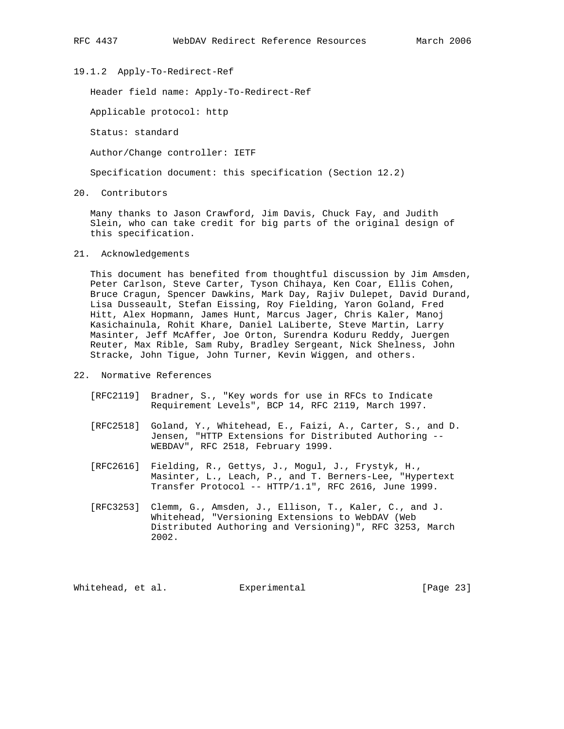19.1.2 Apply-To-Redirect-Ref

Header field name: Apply-To-Redirect-Ref

Applicable protocol: http

Status: standard

Author/Change controller: IETF

Specification document: this specification (Section 12.2)

20. Contributors

 Many thanks to Jason Crawford, Jim Davis, Chuck Fay, and Judith Slein, who can take credit for big parts of the original design of this specification.

21. Acknowledgements

 This document has benefited from thoughtful discussion by Jim Amsden, Peter Carlson, Steve Carter, Tyson Chihaya, Ken Coar, Ellis Cohen, Bruce Cragun, Spencer Dawkins, Mark Day, Rajiv Dulepet, David Durand, Lisa Dusseault, Stefan Eissing, Roy Fielding, Yaron Goland, Fred Hitt, Alex Hopmann, James Hunt, Marcus Jager, Chris Kaler, Manoj Kasichainula, Rohit Khare, Daniel LaLiberte, Steve Martin, Larry Masinter, Jeff McAffer, Joe Orton, Surendra Koduru Reddy, Juergen Reuter, Max Rible, Sam Ruby, Bradley Sergeant, Nick Shelness, John Stracke, John Tigue, John Turner, Kevin Wiggen, and others.

- 22. Normative References
	- [RFC2119] Bradner, S., "Key words for use in RFCs to Indicate Requirement Levels", BCP 14, RFC 2119, March 1997.
	- [RFC2518] Goland, Y., Whitehead, E., Faizi, A., Carter, S., and D. Jensen, "HTTP Extensions for Distributed Authoring -- WEBDAV", RFC 2518, February 1999.
	- [RFC2616] Fielding, R., Gettys, J., Mogul, J., Frystyk, H., Masinter, L., Leach, P., and T. Berners-Lee, "Hypertext Transfer Protocol -- HTTP/1.1", RFC 2616, June 1999.
	- [RFC3253] Clemm, G., Amsden, J., Ellison, T., Kaler, C., and J. Whitehead, "Versioning Extensions to WebDAV (Web Distributed Authoring and Versioning)", RFC 3253, March 2002.

Whitehead, et al. Experimental [Page 23]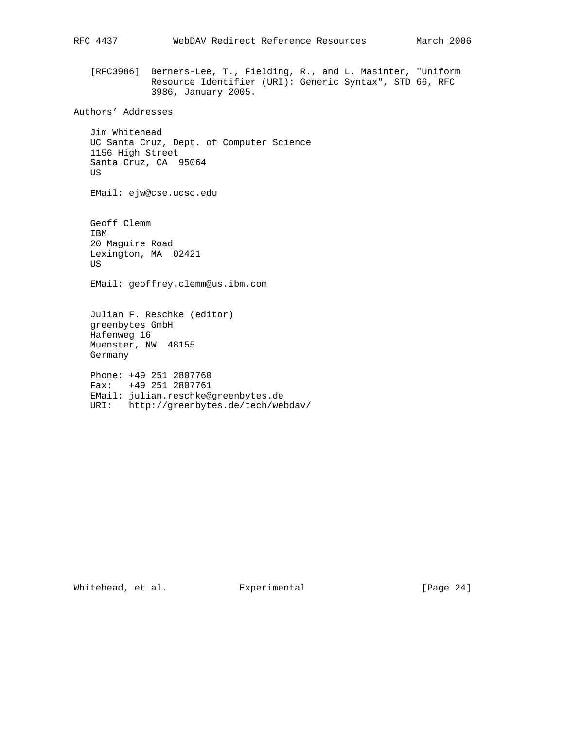[RFC3986] Berners-Lee, T., Fielding, R., and L. Masinter, "Uniform Resource Identifier (URI): Generic Syntax", STD 66, RFC 3986, January 2005.

Authors' Addresses

 Jim Whitehead UC Santa Cruz, Dept. of Computer Science 1156 High Street Santa Cruz, CA 95064 US

EMail: ejw@cse.ucsc.edu

 Geoff Clemm IBM 20 Maguire Road Lexington, MA 02421 US EMail: geoffrey.clemm@us.ibm.com Julian F. Reschke (editor) greenbytes GmbH Hafenweg 16 Muenster, NW 48155 Germany Phone: +49 251 2807760 Fax: +49 251 2807761 EMail: julian.reschke@greenbytes.de

URI: http://greenbytes.de/tech/webdav/

Whitehead, et al. Experimental [Page 24]